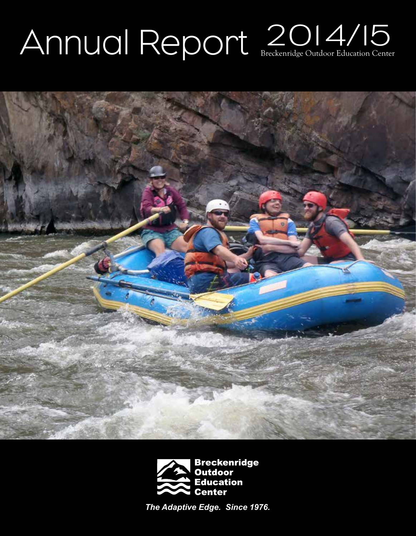# Annual Report  $2014/15$





*The Adaptive Edge. Since 1976.*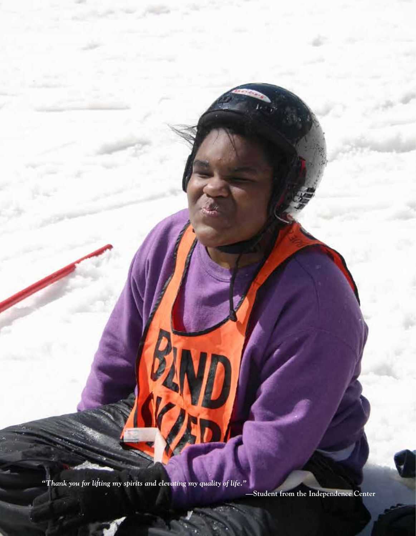*"Thank you for lifting my spirits and elevating my quality of life."* 

**—Student from the Independence Center**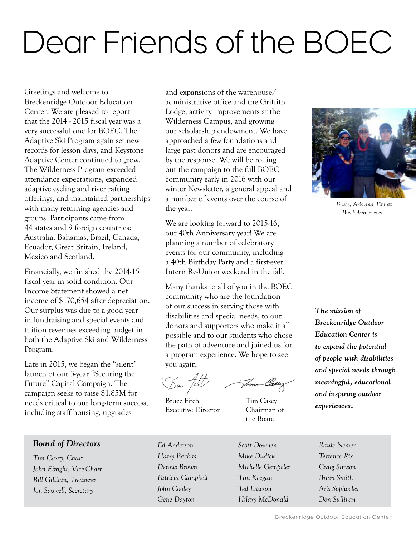## Dear Friends of the BOEC

Greetings and welcome to Breckenridge Outdoor Education Center! We are pleased to report that the 2014 - 2015 fiscal year was a very successful one for BOEC. The Adaptive Ski Program again set new records for lesson days, and Keystone Adaptive Center continued to grow. The Wilderness Program exceeded attendance expectations, expanded adaptive cycling and river rafting offerings, and maintained partnerships with many returning agencies and groups. Participants came from 44 states and 9 foreign countries: Australia, Bahamas, Brazil, Canada, Ecuador, Great Britain, Ireland, Mexico and Scotland.

Financially, we finished the 2014-15 fiscal year in solid condition. Our Income Statement showed a net income of \$170,654 after depreciation. Our surplus was due to a good year in fundraising and special events and tuition revenues exceeding budget in both the Adaptive Ski and Wilderness Program.

Late in 2015, we began the "silent" launch of our 3-year "Securing the Future" Capital Campaign. The campaign seeks to raise \$1.85M for needs critical to our long-term success, including staff housing, upgrades

and expansions of the warehouse/ administrative office and the Griffith Lodge, activity improvements at the Wilderness Campus, and growing our scholarship endowment. We have approached a few foundations and large past donors and are encouraged by the response. We will be rolling out the campaign to the full BOEC community early in 2016 with our winter Newsletter, a general appeal and a number of events over the course of the year.

We are looking forward to 2015-16, our 40th Anniversary year! We are planning a number of celebratory events for our community, including a 40th Birthday Party and a first-ever Intern Re-Union weekend in the fall.

Many thanks to all of you in the BOEC community who are the foundation of our success in serving those with disabilities and special needs, to our donors and supporters who make it all possible and to our students who chose the path of adventure and joined us for a program experience. We hope to see you again!

Ben Fitch

Bruce Fitch Tim Casey Executive Director Chairman of

Jun Casey

the Board



*Bruce, Aris and Tim at Breckebeiner event*

*The mission of Breckenridge Outdoor Education Center is to expand the potential of people with disabilities and special needs through meaningful, educational and inspiring outdoor experiences.*

#### *Board of Directors*

*Tim Casey, Chair John Ebright, Vice-Chair Bill Gillilan, Treasurer Jon Sawvell, Secretary*

*Ed Anderson Harry Backas Dennis Brown Patricia Campbell John Cooley Gene Dayton*

*Scott Downen Mike Dudick Michelle Gempeler Tim Keegan Ted Lawson Hilary McDonald*

*Aris Sophocles Don Sullivan*

*Raule Nemer Terrence Rix Craig Simson Brian Smith*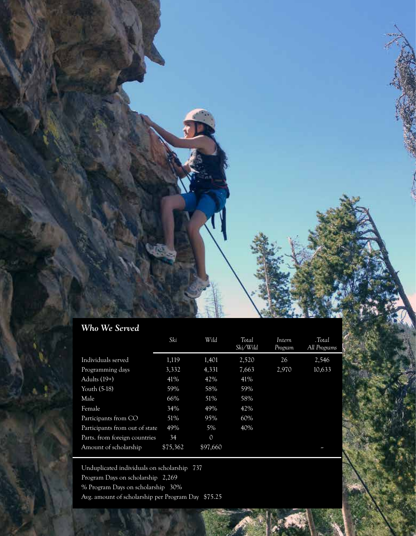#### *Who We Served*

|                                | Ski      | Wild          | Total<br>Ski/Wild | Intern<br>Program | .Total<br>All Programs |
|--------------------------------|----------|---------------|-------------------|-------------------|------------------------|
| Individuals served             | 1,119    | 1,401         | 2,520             | 26                | 2,546                  |
| Programming days               | 3,332    | 4,331         | 7,663             | 2,970             | 10,633                 |
| Adults $(19+)$                 | 41\%     | 42%           | 41%               |                   |                        |
| Youth (5-18)                   | 59%      | 58%           | 59%               |                   |                        |
| Male                           | 66%      | 51%           | 58%               |                   |                        |
| Female                         | 34%      | 49%           | 42%               |                   |                        |
| Participants from CO           | 51%      | 95%           | 60%               |                   |                        |
| Participants from out of state | 49%      | 5%            | 40%               |                   |                        |
| Parts. from foreign countries  | 34       | $\mathcal{O}$ |                   |                   |                        |
| Amount of scholarship          | \$75,362 | \$97,660      |                   |                   | ł                      |

Unduplicated individuals on scholarship 737 Program Days on scholarship 2,269 % Program Days on scholarship 30% Avg. amount of scholarship per Program Day \$75.25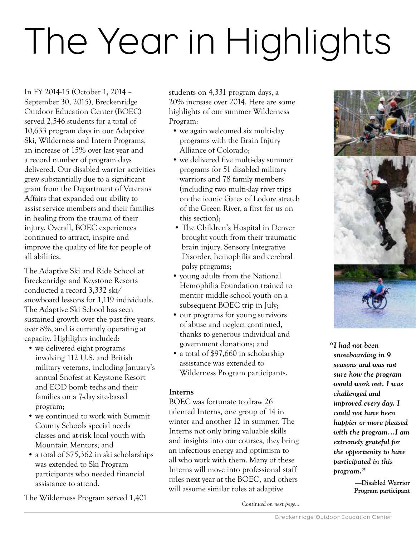## The Year in Highlights

In FY 2014-15 (October 1, 2014 – September 30, 2015), Breckenridge Outdoor Education Center (BOEC) served 2,546 students for a total of 10,633 program days in our Adaptive Ski, Wilderness and Intern Programs, an increase of 15% over last year and a record number of program days delivered. Our disabled warrior activities grew substantially due to a significant grant from the Department of Veterans Affairs that expanded our ability to assist service members and their families in healing from the trauma of their injury. Overall, BOEC experiences continued to attract, inspire and improve the quality of life for people of all abilities.

The Adaptive Ski and Ride School at Breckenridge and Keystone Resorts conducted a record 3,332 ski/ snowboard lessons for 1,119 individuals. The Adaptive Ski School has seen sustained growth over the past five years, over 8%, and is currently operating at capacity. Highlights included:

- we delivered eight programs involving 112 U.S. and British military veterans, including January's annual Snofest at Keystone Resort and EOD bomb techs and their families on a 7-day site-based program;
- we continued to work with Summit County Schools special needs classes and at-risk local youth with Mountain Mentors; and
- a total of \$75,362 in ski scholarships was extended to Ski Program participants who needed financial assistance to attend.

The Wilderness Program served 1,401

students on 4,331 program days, a 20% increase over 2014. Here are some highlights of our summer Wilderness Program:

- we again welcomed six multi-day programs with the Brain Injury Alliance of Colorado;
- we delivered five multi-day summer programs for 51 disabled military warriors and 78 family members (including two multi-day river trips on the iconic Gates of Lodore stretch of the Green River, a first for us on this section);
- The Children's Hospital in Denver brought youth from their traumatic brain injury, Sensory Integrative Disorder, hemophilia and cerebral palsy programs;
- young adults from the National Hemophilia Foundation trained to mentor middle school youth on a subsequent BOEC trip in July;
- our programs for young survivors of abuse and neglect continued, thanks to generous individual and government donations; and
- a total of \$97,660 in scholarship assistance was extended to Wilderness Program participants.

#### **Interns**

BOEC was fortunate to draw 26 talented Interns, one group of 14 in winter and another 12 in summer. The Interns not only bring valuable skills and insights into our courses, they bring an infectious energy and optimism to all who work with them. Many of these Interns will move into professional staff roles next year at the BOEC, and others will assume similar roles at adaptive

*Continued on next page…*



*"I had not been snowboarding in 9 seasons and was not sure how the program would work out. I was challenged and improved every day. I could not have been happier or more pleased with the program…I am extremely grateful for the opportunity to have participated in this program."* 

> **—Disabled Warrior Program participant**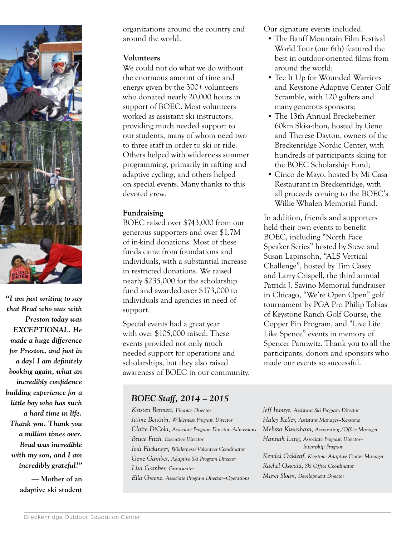

*"I am just writing to say that Brad who was with Preston today was EXCEPTIONAL. He made a huge difference for Preston, and just in a day! I am definitely booking again, what an incredibly confidence building experience for a little boy who has such a hard time in life. Thank you. Thank you a million times over. Brad was incredible with my son, and I am incredibly grateful!"*

> **— Mother of an adaptive ski student**

organizations around the country and around the world.

#### **Volunteers**

We could not do what we do without the enormous amount of time and energy given by the 300+ volunteers who donated nearly 20,000 hours in support of BOEC. Most volunteers worked as assistant ski instructors, providing much needed support to our students, many of whom need two to three staff in order to ski or ride. Others helped with wilderness summer programming, primarily in rafting and adaptive cycling, and others helped on special events. Many thanks to this devoted crew.

#### **Fundraising**

BOEC raised over \$743,000 from our generous supporters and over \$1.7M of in-kind donations. Most of these funds came from foundations and individuals, with a substantial increase in restricted donations. We raised nearly \$235,000 for the scholarship fund and awarded over \$173,000 to individuals and agencies in need of support.

Special events had a great year with over \$105,000 raised. These events provided not only much needed support for operations and scholarships, but they also raised awareness of BOEC in our community. Our signature events included:

- The Banff Mountain Film Festival World Tour (our 6th) featured the best in outdoor-oriented films from around the world;
- Tee It Up for Wounded Warriors and Keystone Adaptive Center Golf Scramble, with 120 golfers and many generous sponsors;
- The 13th Annual Breckebeiner 60km Ski-a-thon, hosted by Gene and Therese Dayton, owners of the Breckenridge Nordic Center, with hundreds of participants skiing for the BOEC Scholarship Fund;
- Cinco de Mayo, hosted by Mi Casa Restaurant in Breckenridge, with all proceeds coming to the BOEC's Willie Whalen Memorial Fund.

In addition, friends and supporters held their own events to benefit BOEC, including "North Face Speaker Series" hosted by Steve and Susan Lapinsohn, "ALS Vertical Challenge", hosted by Tim Casey and Larry Crispell, the third annual Patrick J. Savino Memorial fundraiser in Chicago, "We're Open Open" golf tournament by PGA Pro Philip Tobias of Keystone Ranch Golf Course, the Copper Pin Program, and "Live Life Like Spence" events in memory of Spencer Pannwitz. Thank you to all the participants, donors and sponsors who made our events so successful.

#### *BOEC Staff, 2014 – 2015*

*Kristen Bennett, Finance Director Jaime Benthin, Wilderness Program Director Claire DiCola, Associate Program Director–Admissions Bruce Fitch, Executive Director Jodi Flickinger, Wilderness/Volunteer Coordinator Gene Gamber, Adaptive Ski Program Director Lisa Gamber, Grantwriter Ella Greene, Associate Program Director–Operations*

*Jeff Inouye, Assistant Ski Program Director Haley Keller, Assistant Manager–Keystone Melissa Kuwahara, Accounting /Office Manager Hannah Lang, Associate Program Director— Internship Program Kendal Oakleaf, Keystone Adaptive Center Manager Rachel Oswald, Ski Office Coordinator Marci Sloan, Development Director*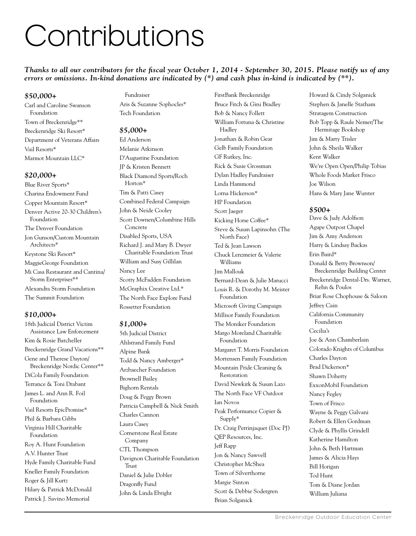### Contributions

*Thanks to all our contributors for the fiscal year October 1, 2014 - September 30, 2015. Please notify us of any errors or omissions. In-kind donations are indicated by (\*) and cash plus in-kind is indicated by (\*\*).*

#### *\$50,000+*

Carl and Caroline Swanson Foundation Town of Breckenridge\*\* Breckenridge Ski Resort\* Department of Veterans Affairs Vail Resorts\* Marmot Mountain LLC\*

#### *\$20,000+*

Blue River Sports\* Charina Endowment Fund Copper Mountain Resort\* Denver Active 20-30 Children's Foundation The Denver Foundation Jon Gunson/Custom Mountain Architects\* Keystone Ski Resort\* MaggieGeorge Foundation Mi Casa Restaurant and Cantina/ Storm Enterprises\*\* Alexandra Storm Foundation The Summit Foundation

#### *\$10,000+*

18th Judicial District Victim Assistance Law Enforcement Kim & Rosie Batcheller Breckenridge Grand Vacations\*\* Gene and Therese Dayton/ Breckenridge Nordic Center\*\* DiCola Family Foundation Terrance & Toni Drabant James L. and Ann R. Foil Foundation Vail Resorts EpicPromise\* Phil & Barbara Gibbs Virginia Hill Charitable Foundation Roy A. Hunt Foundation A.V. Hunter Trust Hyde Family Charitable Fund Kneller Family Foundation Roger & Jill Kurtz Hilary & Patrick McDonald Patrick J. Savino Memorial

Fundraiser Aris & Suzanne Sophocles\* Tech Foundation

#### *\$5,000+*

Ed Anderson Melanie Atkinson D'Augustine Foundation JP & Kristen Bennett Black Diamond Sports/Roch Horton\* Tim & Patti Casey Combined Federal Campaign John & Neide Cooley Scott Downen/Columbine Hills Concrete Disabled Sports, USA Richard J. and Mary B. Dwyer Charitable Foundation Trust William and Susy Gillilan Nancy Lee Scotty McFadden Foundation McGraphix Creative Ltd.\* The North Face Explore Fund Rossetter Foundation

#### *\$1,000+*

5th Judicial District Ahlstrand Family Fund Alpine Bank Todd & Nancy Amberger\* Arzbaecher Foundation Brownell Bailey Bighorn Rentals Doug & Peggy Brown Patricia Campbell & Nick Smith Charles Cannon Laura Casey Cornerstone Real Estate Company CTL Thompson Davignon Charitable Foundation Trust Daniel & Julie Dobler Dragonfly Fund John & Linda Ebright

FirstBank Breckenridge Bruce Fitch & Gini Bradley Bob & Nancy Follett William Fortuna & Christine Hadley Jonathan & Robin Gear Gelb Family Foundation GF Rutkey, Inc. Rick & Susie Grossman Dylan Hadley Fundraiser Linda Hammond Lorna Hickerson\* HP Foundation Scott Jaeger Kicking Horse Coffee\* Steve & Susan Lapinsohn (The North Face) Ted & Jean Lawson Chuck Lenzmeier & Valerie Williams Jim Mallouk Bernard-Dean & Julie Marucci Louis R. & Dorothy M. Meister Foundation Microsoft Giving Campaign Millisor Family Foundation The Moniker Foundation Margo Moreland Charitable Foundation Margaret T. Morris Foundation Mortensen Family Foundation Mountain Pride Cleaning & Restoration David Newkirk & Susan Lazo The North Face VF Outdoor Ian Novos Peak Performance Copier & Supply\* Dr. Craig Perrinjaquet (Doc PJ) QEP Resources, Inc. Jeff Rapp Jon & Nancy Sawvell Christopher McShea Town of Silverthorne Margie Sinton Scott & Debbie Sodergren Brian Solganick

Howard & Cindy Solganick Stephen & Janelle Statham Stratagem Construction Bob Topp & Raule Nemer/The Hermitage Bookshop Jim & Marty Trisler John & Sheila Walker Kent Walker We're Open Open/Philip Tobias Whole Foods Market Frisco Joe Wilson Hans & Mary Jane Wurster

#### *\$500+*

Dave & Judy Adolfson Agape Outpost Chapel Jim & Amy Anderson Harry & Lindsay Backas Erin Baird\* Donald & Betty Brownson/ Breckenridge Building Center Breckenridge Dental-Drs. Warner, Rehn & Poulos Briar Rose Chophouse & Saloon Jeffrey Cain California Community Foundation Cecilia's Joe & Ann Chamberlain Colorado Knights of Columbus Charles Dayton Brad Dickerson\* Shawn Doherty ExxonMobil Foundation Nancy Fegley Town of Frisco Wayne & Peggy Galvani Robert & Ellen Gordman Clyde & Phyllis Grindell Katherine Hamilton John & Beth Hartman James & Alicia Hays Bill Horigan Tod Hunt Tom & Diane Jordan William Juliana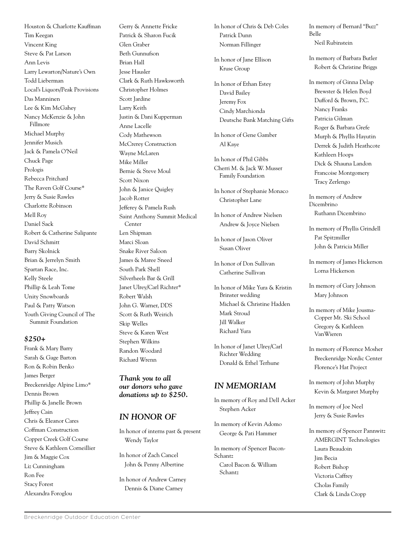Houston & Charlotte Kauffman Tim Keegan Vincent King Steve & Pat Larson Ann Levis Larry Lewarton/Nature's Own Todd Lieberman Local's Liquors/Peak Provisions Das Manninen Lee & Kim McGahey Nancy McKenzie & John Fillmore Michael Murphy Jennifer Musich Jack & Pamela O'Neil Chuck Page Prologis Rebecca Pritchard The Raven Golf Course\* Jerry & Susie Rawles Charlotte Robinson Mell Roy Daniel Sack Robert & Catherine Salipante David Schmitt Barry Skolnick Brian & Jerrelyn Smith Spartan Race, Inc. Kelly Steele Phillip & Leah Tome Unity Snowboards Paul & Patty Watson Youth Giving Council of The Summit Foundation

#### *\$250+*

Frank & Mary Barry Sarah & Gage Barton Ron & Robin Benko James Berger Breckenridge Alpine Limo\* Dennis Brown Phillip & Janelle Brown Jeffrey Cain Chris & Eleanor Cares Coffman Construction Copper Creek Golf Course Steve & Kathleen Corneillier Jim & Maggie Cox Liz Cunningham Ron Fee Stacy Forest Alexandra Foroglou

Gerry & Annette Fricke Patrick & Sharon Fucik Glen Graber Beth Gunnufson Brian Hall Jesse Hausler Clark & Ruth Hawksworth Christopher Holmes Scott Jardine Larry Keith Justin & Dani Kupperman Anne Lacelle Cody Mathewson McCrerey Construction Wayne McLaren Mike Miller Bernie & Steve Moul Scott Nixon John & Janice Quigley Jacob Rotter Jefferey & Pamela Rush Saint Anthony Summit Medical Center Len Shipman Marci Sloan Snake River Saloon James & Maree Sneed South Park Shell Silverheels Bar & Grill Janet Ulrey/Carl Richter\* Robert Walsh John G. Warner, DDS Scott & Ruth Weirich Skip Welles Steve & Karen West Stephen Wilkins Randon Woodard Richard Wrenn

*Thank you to all our donors who gave donations up to \$250.* 

#### *IN HONOR OF*

In honor of interns past & present Wendy Taylor

In honor of Zach Cancel John & Penny Albertine

In honor of Andrew Carney Dennis & Diane Carney

In honor of Chris & Deb Coles Patrick Dunn Norman Fillinger

In honor of Jane Ellison Kruse Group

In honor of Ethan Estey David Bailey Jeremy Fox Cindy Marchionda Deutsche Bank Matching Gifts

In honor of Gene Gamber Al Kaye

In honor of Phil Gibbs Cherri M. & Jack W. Musser Family Foundation

In honor of Stephanie Monaco Christopher Lane

In honor of Andrew Nielsen Andrew & Joyce Nielsen

In honor of Jason Oliver Susan Oliver

In honor of Don Sullivan Catherine Sullivan

In honor of Mike Yura & Kristin Brinster wedding Michael & Christine Hadden Mark Stroud Jill Walker Richard Yura

In honor of Janet Ulrey/Carl Richter Wedding Donald & Ethel Terhune

#### *IN MEMORIAM*

In memory of Roy and Dell Acker Stephen Acker

In memory of Kevin Adomo George & Pati Hammer

In memory of Spencer Bacon-Schantz Carol Bacon & William Schantz

In memory of Bernard "Buzz" Belle Neil Rubinstein

In memory of Barbara Butler Robert & Christine Briggs

In memory of Ginna Delap Brewster & Helen Boyd Dufford & Brown, P.C. Nancy Franks Patricia Gilman Roger & Barbara Grefe Murph & Phyllis Hayutin Derrek & Judith Heathcote Kathleen Hoops Dick & Shauna Landon Francoise Montgomery Tracy Zerlengo

In memory of Andrew Dicembrino Ruthann Dicembrino

In memory of Phyllis Grindell Pat Spitzmiller John & Patricia Miller

In memory of James Hickerson Lorna Hickerson

In memory of Gary Johnson Mary Johnson

In memory of Mike Jousma-Copper Mt. Ski School Gregory & Kathleen VanWieren

In memory of Florence Mosher Breckenridge Nordic Center Florence's Hat Project

In memory of John Murphy Kevin & Margaret Murphy

In memory of Joe Neel Jerry & Susie Rawles

In memory of Spencer Pannwitz AMERGINT Technologies Laura Beaudoin Jim Becia Robert Bishop Victoria Caffrey Cholas Family Clark & Linda Cropp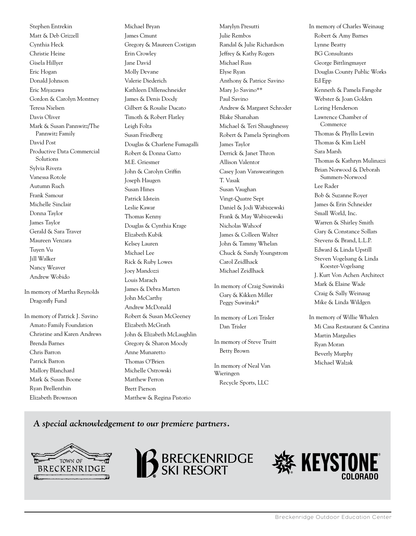Stephen Entrekin Matt & Deb Grizzell Cynthia Heck Christie Heine Gisela Hillyer Eric Hogan Donald Johnson Eric Miyazawa Gordon & Carolyn Montney Teresa Nielsen Davis Oliver Mark & Susan Pannwitz/The Pannwitz Family David Post Productive Data Commercial **Solutions** Sylvia Rivera Vanessa Rotole Autumn Ruch Frank Samour Michelle Sinclair Donna Taylor James Taylor Gerald & Sara Traver Maureen Venzara Tuyen Vu Jill Walker Nancy Weaver Andrew Wobido

In memory of Martha Reynolds Dragonfly Fund

In memory of Patrick J. Savino Amato Family Foundation Christine and Karen Andrews Brenda Barnes Chris Barron Patrick Barron Mallory Blanchard Mark & Susan Boone Ryan Brellenthin Elizabeth Brownson

Michael Bryan James Cmunt Gregory & Maureen Costigan Erin Crowley Jane David Molly Devane Valerie Diederich Kathleen Dillenschneider James & Denis Doody Gilbert & Rosalie Ducato Timoth & Robert Flatley Leigh Folta Susan Friedberg Douglas & Charlene Fumagalli Robert & Donna Gatto M.E. Griesmer John & Carolyn Griffin Joseph Haugen Susan Hines Patrick Idstein Leslie Kawar Thomas Kenny Douglas & Cynthia Krage Elizabeth Kubik Kelsey Lauren Michael Lee Rick & Ruby Lowes Joey Mandozzi Louis Marach James & Debra Marten John McCarthy Andrew McDonald Robert & Susan McGeeney Elizabeth McGrath John & Elizabeth McLaughlin Gregory & Sharon Moody Anne Munaretto Thomas O'Brien Michelle Ostrowski Matthew Perron Brett Pierson Matthew & Regina Pistorio

Marylyn Presutti Julie Rembos Randal & Julie Richardson Jeffrey & Kathy Rogers Michael Russ Elyse Ryan Anthony & Patrice Savino Mary Jo Savino\*\* Paul Savino Andrew & Margaret Schroder Blake Shanahan Michael & Teri Shaughnessy Robert & Pamela Springborn James Taylor Derrick & Janet Thron Allison Valentor Casey Joan Vanswearingen T. Vasak Susan Vaughan Vingt-Quatre Sept Daniel & Jodi Wabiszewski Frank & May Wabiszewski Nicholas Wahoof James & Colleen Walter John & Tammy Whelan Chuck & Sandy Youngstrom Carol Zeidlhack Michael Zeidlhack In memory of Craig Suwinski Gary & Kikken Miller Peggy Suwinski\*

In memory of Lori Trisler Dan Trisler

In memory of Steve Truitt Betty Brown

In memory of Neal Van Wieringen Recycle Sports, LLC

In memory of Charles Weinaug Robert & Amy Barnes Lynne Beatty BG Consultants George Bittlingmayer Douglas County Public Works Ed Epp Kenneth & Pamela Fangohr Webster & Joan Golden Loring Henderson Lawrence Chamber of Commerce Thomas & Phyllis Lewin Thomas & Kim Liebl Sara Marsh Thomas & Kathryn Mulinazzi Brian Norwood & Deborah Summers-Norwood Lee Rader Bob & Suzanne Royer James & Erin Schneider Small World, Inc. Warren & Shirley Smith Gary & Constance Sollars Stevens & Brand, L.L.P. Edward & Linda Upstill Steven Vogelsang & Linda Koester-Vogelsang J. Kurt Von Achen Architect Mark & Elaine Wade Craig & Sally Weinaug Mike & Linda Wildgen

In memory of Willie Whalen Mi Casa Restaurant & Cantina Martin Margulies Ryan Moran Beverly Murphy Michael Walzak

*A special acknowledgement to our premiere partners.*





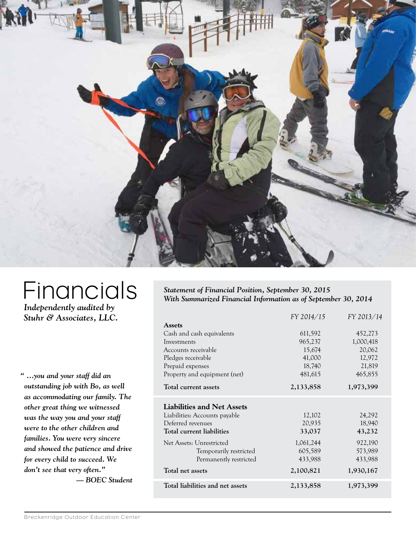

### **Financials**

*Independently audited by Stuhr & Associates, LLC.*

*" …you and your staff did an outstanding job with Bo, as well as accommodating our family. The other great thing we witnessed was the way you and your staff were to the other children and families. You were very sincere and showed the patience and drive for every child to succeed. We don't see that very often." — BOEC Student*

*Statement of Financial Position, September 30, 2015 With Summarized Financial Information as of September 30, 2014*

|                                   | FY 2014/15 | FY 2013/14 |  |
|-----------------------------------|------------|------------|--|
| <b>Assets</b>                     |            |            |  |
| Cash and cash equivalents         | 611,592    | 452,273    |  |
| Investments                       | 965,237    | 1,000,418  |  |
| Accounts receivable               | 15,674     | 20,062     |  |
| Pledges receivable                | 41,000     | 12,972     |  |
| Prepaid expenses                  | 18,740     | 21,819     |  |
| Property and equipment (net)      | 481,615    | 465,855    |  |
| Total current assets              | 2,133,858  | 1,973,399  |  |
| <b>Liabilities and Net Assets</b> |            |            |  |
| Liabilities: Accounts payable     | 12,102     | 24,292     |  |
| Deferred revenues                 | 20,935     | 18,940     |  |
| Total current liabilities         | 33,037     | 43,232     |  |
| Net Assets: Unrestricted          | 1,061,244  | 922,190    |  |
| Temporarily restricted            | 605,589    | 573,989    |  |
| Permanently restricted            | 433,988    | 433,988    |  |
| Total net assets                  | 2,100,821  | 1,930,167  |  |
| Total liabilities and net assets  | 2,133,858  | 1,973,399  |  |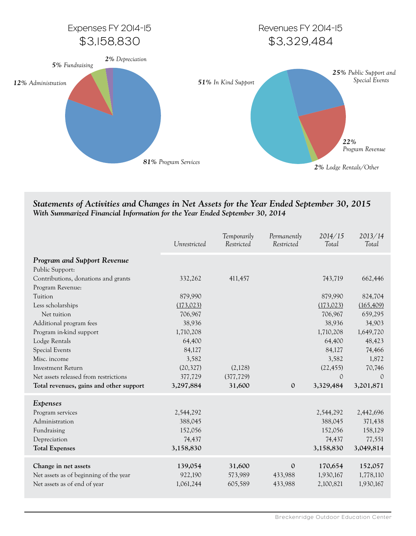

#### *Statements of Activities and Changes in Net Assets for the Year Ended September 30, 2015 With Summarized Financial Information for the Year Ended September 30, 2014*

|                                         | Unrestricted | Temporarily<br>Restricted | Permanently<br>Restricted | 2014/15<br>Total | 2013/14<br>Total |
|-----------------------------------------|--------------|---------------------------|---------------------------|------------------|------------------|
| <b>Program and Support Revenue</b>      |              |                           |                           |                  |                  |
| Public Support:                         |              |                           |                           |                  |                  |
| Contributions, donations and grants     | 332,262      | 411,457                   |                           | 743,719          | 662,446          |
| Program Revenue:                        |              |                           |                           |                  |                  |
| Tuition                                 | 879,990      |                           |                           | 879,990          | 824,704          |
| Less scholarships                       | (173, 023)   |                           |                           | (173, 023)       | (165, 409)       |
| Net tuition                             | 706,967      |                           |                           | 706,967          | 659,295          |
| Additional program fees                 | 38,936       |                           |                           | 38,936           | 34,903           |
| Program in-kind support                 | 1,710,208    |                           |                           | 1,710,208        | 1,649,720        |
| Lodge Rentals                           | 64,400       |                           |                           | 64,400           | 48,423           |
| Special Events                          | 84,127       |                           |                           | 84,127           | 74,466           |
| Misc. income                            | 3,582        |                           |                           | 3,582            | 1,872            |
| Investment Return                       | (20, 327)    | (2,128)                   |                           | (22, 455)        | 70,746           |
| Net assets released from restrictions   | 377,729      | (377, 729)                |                           | $\mathcal{O}$    | $\Omega$         |
| Total revenues, gains and other support | 3,297,884    | 31,600                    | $\mathbf{0}$              | 3,329,484        | 3,201,871        |
| Expenses                                |              |                           |                           |                  |                  |
| Program services                        | 2,544,292    |                           |                           | 2,544,292        | 2,442,696        |
| Administration                          | 388,045      |                           |                           | 388,045          | 371,438          |
| Fundraising                             | 152,056      |                           |                           | 152,056          | 158,129          |
| Depreciation                            | 74,437       |                           |                           | 74,437           | 77,551           |
| <b>Total Expenses</b>                   | 3,158,830    |                           |                           | 3,158,830        | 3,049,814        |
| Change in net assets                    | 139,054      | 31,600                    | $\mathbf{0}$              | 170,654          | 152,057          |
| Net assets as of beginning of the year  | 922,190      | 573,989                   | 433,988                   | 1,930,167        | 1,778,110        |
| Net assets as of end of year            | 1,061,244    | 605,589                   | 433,988                   | 2,100,821        | 1,930,167        |